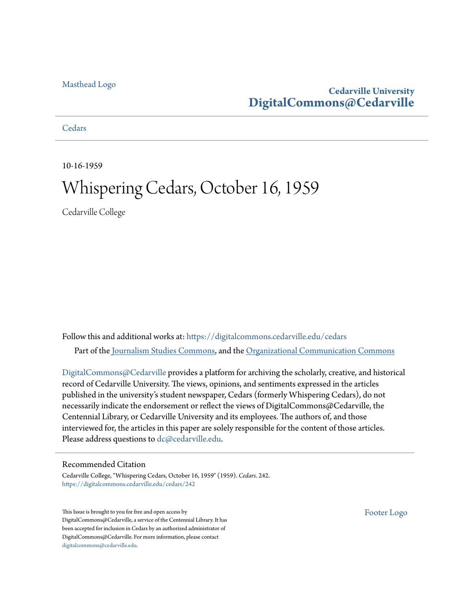### [Masthead Logo](http://www.cedarville.edu/?utm_source=digitalcommons.cedarville.edu%2Fcedars%2F242&utm_medium=PDF&utm_campaign=PDFCoverPages)

### **Cedarville University [DigitalCommons@Cedarville](https://digitalcommons.cedarville.edu?utm_source=digitalcommons.cedarville.edu%2Fcedars%2F242&utm_medium=PDF&utm_campaign=PDFCoverPages)**

**[Cedars](https://digitalcommons.cedarville.edu/cedars?utm_source=digitalcommons.cedarville.edu%2Fcedars%2F242&utm_medium=PDF&utm_campaign=PDFCoverPages)** 

10-16-1959

### Whispering Cedars, October 16, 1959

Cedarville College

Follow this and additional works at: [https://digitalcommons.cedarville.edu/cedars](https://digitalcommons.cedarville.edu/cedars?utm_source=digitalcommons.cedarville.edu%2Fcedars%2F242&utm_medium=PDF&utm_campaign=PDFCoverPages) Part of the [Journalism Studies Commons](http://network.bepress.com/hgg/discipline/333?utm_source=digitalcommons.cedarville.edu%2Fcedars%2F242&utm_medium=PDF&utm_campaign=PDFCoverPages), and the [Organizational Communication Commons](http://network.bepress.com/hgg/discipline/335?utm_source=digitalcommons.cedarville.edu%2Fcedars%2F242&utm_medium=PDF&utm_campaign=PDFCoverPages)

[DigitalCommons@Cedarville](http://digitalcommons.cedarville.edu/) provides a platform for archiving the scholarly, creative, and historical record of Cedarville University. The views, opinions, and sentiments expressed in the articles published in the university's student newspaper, Cedars (formerly Whispering Cedars), do not necessarily indicate the endorsement or reflect the views of DigitalCommons@Cedarville, the Centennial Library, or Cedarville University and its employees. The authors of, and those interviewed for, the articles in this paper are solely responsible for the content of those articles. Please address questions to [dc@cedarville.edu.](mailto:dc@cedarville.edu)

#### Recommended Citation

Cedarville College, "Whispering Cedars, October 16, 1959" (1959). *Cedars*. 242. [https://digitalcommons.cedarville.edu/cedars/242](https://digitalcommons.cedarville.edu/cedars/242?utm_source=digitalcommons.cedarville.edu%2Fcedars%2F242&utm_medium=PDF&utm_campaign=PDFCoverPages)

This Issue is brought to you for free and open access by DigitalCommons@Cedarville, a service of the Centennial Library. It has been accepted for inclusion in Cedars by an authorized administrator of DigitalCommons@Cedarville. For more information, please contact [digitalcommons@cedarville.edu](mailto:digitalcommons@cedarville.edu).

[Footer Logo](http://www.cedarville.edu/Academics/Library.aspx?utm_source=digitalcommons.cedarville.edu%2Fcedars%2F242&utm_medium=PDF&utm_campaign=PDFCoverPages)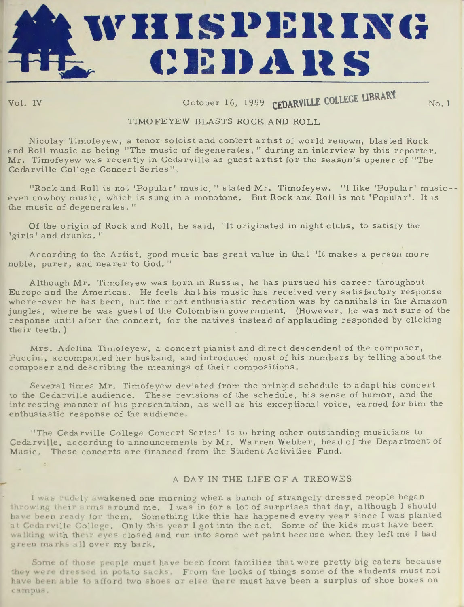# **1\'111Sl<sup>1</sup> 1~1tlNCS c: 1;: I)** *i~* **It S**

## Vol. IV <sup>O</sup> ctobe <sup>r</sup><sup>16</sup> , 1959 **CEDARVILLE COLLEGE UBRAR**

 $No.1$ 

### TIMOFEYEW BLASTS ROCK AND ROLL

Nicolay Timofeyew, a tenor soloist and conert artist of world renown, blasted Rock and Roll music as being "The music of degenerates," during an interview by this reporter. Mr. Timofeyew was recently in Cedarville as guest artist for the season's opener of "The Cedarville College Concert Series".

"Rock and Roll is not 'Popular' music, " stated Mr. Timofeyew. "I like 'Popular' music-even cowboy music, which is sung in a monotone. But Rock and Roll is not 'Popular'. It is the music of degenerates."

Of the origin of Rock and Roll, he said, "It originated in night clubs, to satisfy the 'girls' and drunks."

According to the Artist, good music has great value in that "It makes a person more noble, purer, and nearer to God."

Although Mr. Timofeyew was born in Russia, he has pursued his career throughout Europe and the Americas. He feels that his music has received very satisfactory response where-ever he has been, but the most enthusiastic reception was by cannibals in the Amazon jungles, where he was guest of the Colombian government. (However, he was not sure of the response until after the concert, for the natives instead of applauding responded by clicking their teeth. )

Mrs. Adelina Timofeyew, a concert pianist and direct descendent of the composer, Puccini, accompanied her husband, and introduced most of his numbers by telling about the composer and describing the meanings of their compositions.

Several times Mr. Timofeyew deviated from the princed schedule to adapt his concert to the Cedarville audience. These revisions of the schedule, his sense of humor, and the interesting manner of his presentation, as well as his exceptional voice, earned for him the enthusiastic response of the audience.

"The Cedarville College Concert Series" is 10 bring other outstanding musicians to Cedarville, according to announcements by Mr. Warren Webber, head of the Department of Music. These concerts are financed from the Student Activities Fund.

### A DAY IN THE LIFE OF A TREOWES

I was rudely awakened one morning when a bunch of strangely dressed people began throwing their arms around me. I was in for a lot of surprises that day, although I should have been ready for them. Something like this has happened every year since I was planted at Cedarville College. Only this year I got into the act. Some of the kids must have been walking with their eyes closed and run into some wet paint because when they left me I had green marks all over my bark.

Some of those people must have been from families that were pretty big eaters because they were dressed in potato sacks. From the looks of things some of the students must not have been able to afford two shoes or else there must have been a surplus of shoe boxes on campus.